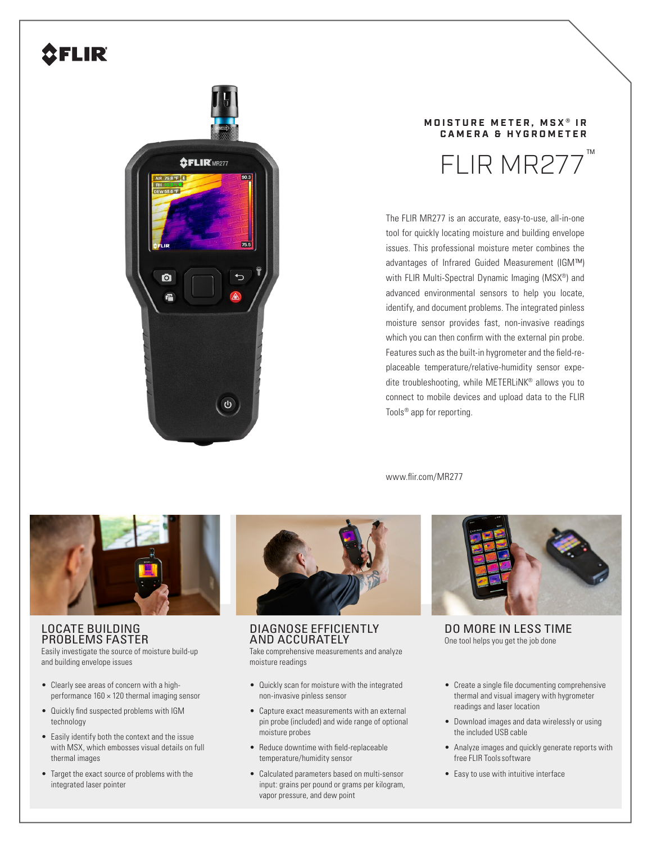# **AFLIR**



## **MOISTURE METER, MSX<sup>®</sup> IR CAMERA & HYGROMETER**



The FLIR MR277 is an accurate, easy-to-use, all-in-one tool for quickly locating moisture and building envelope issues. This professional moisture meter combines the advantages of Infrared Guided Measurement (IGM™) with FLIR Multi-Spectral Dynamic Imaging (MSX®) and advanced environmental sensors to help you locate, identify, and document problems. The integrated pinless moisture sensor provides fast, non-invasive readings which you can then confirm with the external pin probe. Features such as the built-in hygrometer and the field-replaceable temperature/relative-humidity sensor expedite troubleshooting, while METERLiNK® allows you to connect to mobile devices and upload data to the FLIR Tools® app for reporting.

www.flir.com/MR277



## LOCATE BUILDING PROBLEMS FASTER

Easily investigate the source of moisture build-up and building envelope issues

- Clearly see areas of concern with a highperformance  $160 \times 120$  thermal imaging sensor
- Quickly find suspected problems with IGM technology
- Easily identify both the context and the issue with MSX, which embosses visual details on full thermal images
- Target the exact source of problems with the integrated laser pointer



DIAGNOSE EFFICIENTLY AND ACCURATELY Take comprehensive measurements and analyze moisture readings

- Quickly scan for moisture with the integrated non-invasive pinless sensor
- Capture exact measurements with an external pin probe (included) and wide range of optional moisture probes
- Reduce downtime with field-replaceable temperature/humidity sensor
- Calculated parameters based on multi-sensor input: grains per pound or grams per kilogram, vapor pressure, and dew point



DO MORE IN LESS TIME One tool helps you get the job done

- Create a single file documenting comprehensive thermal and visual imagery with hygrometer readings and laser location
- Download images and data wirelessly or using the included USB cable
- Analyze images and quickly generate reports with free FLIR Toolssoftware
- Easy to use with intuitive interface